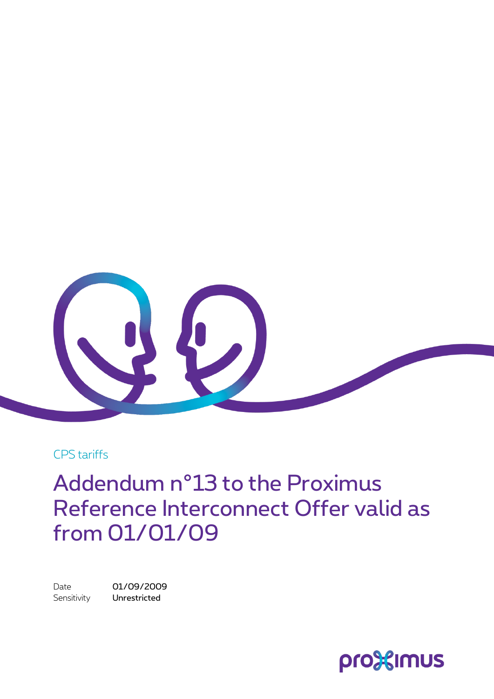

CPS tariffs

Addendum n°13 to the Proximus Reference Interconnect Offer valid as from 01/01/09

Date 01/09/2009 Sensitivity **Unrestricted** 

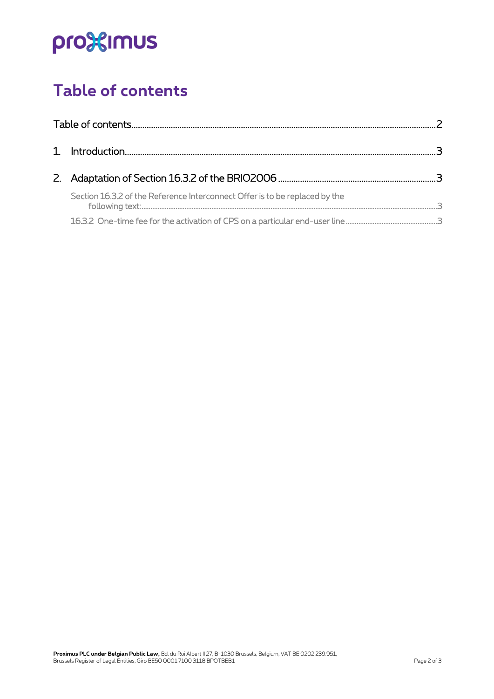# pro<sup>32</sup>imus

## <span id="page-1-0"></span>**Table of contents**

|  | Section 16.3.2 of the Reference Interconnect Offer is to be replaced by the |  |
|--|-----------------------------------------------------------------------------|--|
|  |                                                                             |  |